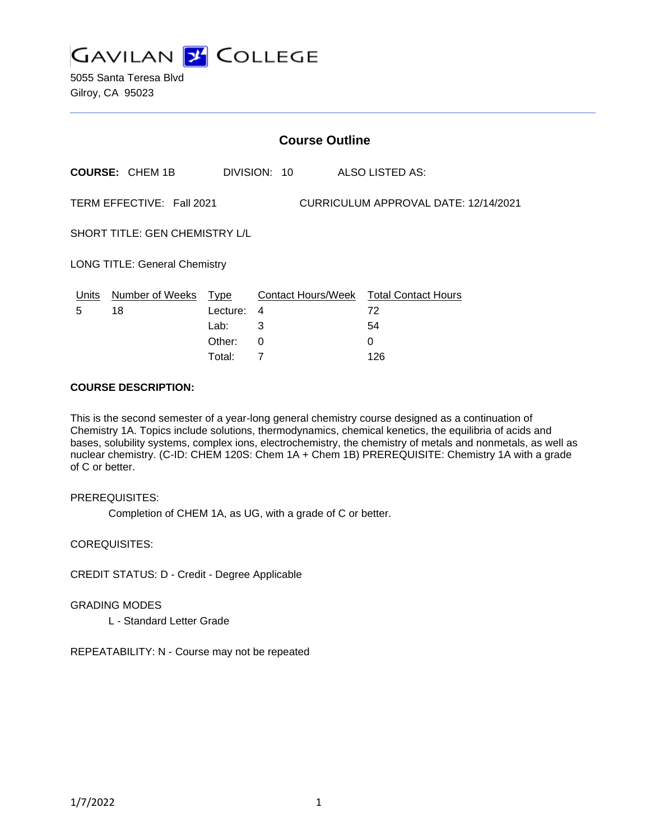

5055 Santa Teresa Blvd Gilroy, CA 95023

| <b>Course Outline</b>                                             |                        |          |              |                                        |
|-------------------------------------------------------------------|------------------------|----------|--------------|----------------------------------------|
|                                                                   | <b>COURSE: CHEM 1B</b> |          | DIVISION: 10 | ALSO LISTED AS:                        |
| TERM EFFECTIVE: Fall 2021<br>CURRICULUM APPROVAL DATE: 12/14/2021 |                        |          |              |                                        |
| SHORT TITLE: GEN CHEMISTRY L/L                                    |                        |          |              |                                        |
| <b>LONG TITLE: General Chemistry</b>                              |                        |          |              |                                        |
| Units                                                             | Number of Weeks        | Type     |              | Contact Hours/Week Total Contact Hours |
| 5                                                                 | 18                     | Lecture: | 4            | 72                                     |
|                                                                   |                        | Lab:     | 3            | 54                                     |
|                                                                   |                        | Other:   | 0            | 0                                      |
|                                                                   |                        | Total:   | 7            | 126                                    |

#### **COURSE DESCRIPTION:**

This is the second semester of a year-long general chemistry course designed as a continuation of Chemistry 1A. Topics include solutions, thermodynamics, chemical kenetics, the equilibria of acids and bases, solubility systems, complex ions, electrochemistry, the chemistry of metals and nonmetals, as well as nuclear chemistry. (C-ID: CHEM 120S: Chem 1A + Chem 1B) PREREQUISITE: Chemistry 1A with a grade of C or better.

#### PREREQUISITES:

Completion of CHEM 1A, as UG, with a grade of C or better.

COREQUISITES:

CREDIT STATUS: D - Credit - Degree Applicable

GRADING MODES

L - Standard Letter Grade

REPEATABILITY: N - Course may not be repeated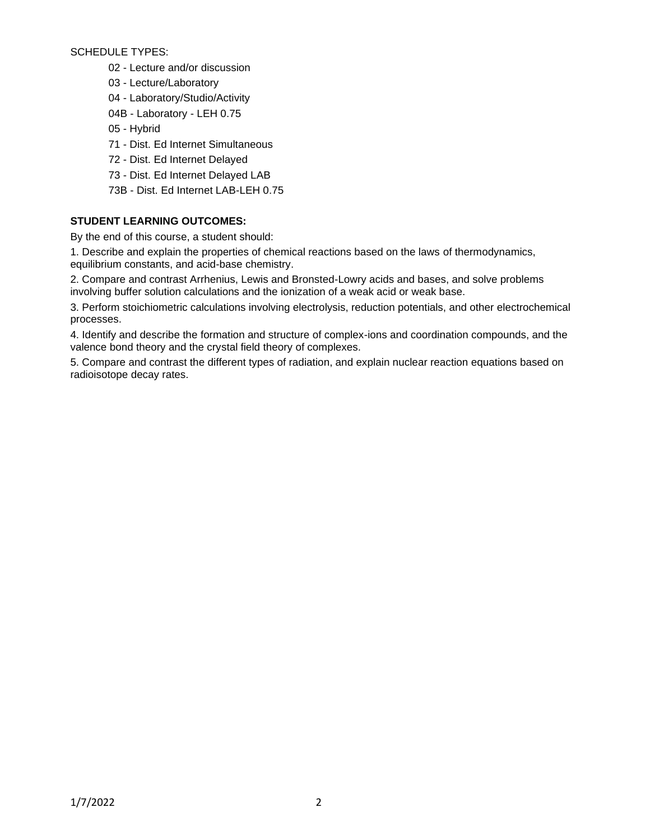SCHEDULE TYPES:

- 02 Lecture and/or discussion
- 03 Lecture/Laboratory
- 04 Laboratory/Studio/Activity
- 04B Laboratory LEH 0.75
- 05 Hybrid
- 71 Dist. Ed Internet Simultaneous
- 72 Dist. Ed Internet Delayed
- 73 Dist. Ed Internet Delayed LAB
- 73B Dist. Ed Internet LAB-LEH 0.75

# **STUDENT LEARNING OUTCOMES:**

By the end of this course, a student should:

1. Describe and explain the properties of chemical reactions based on the laws of thermodynamics, equilibrium constants, and acid-base chemistry.

2. Compare and contrast Arrhenius, Lewis and Bronsted-Lowry acids and bases, and solve problems involving buffer solution calculations and the ionization of a weak acid or weak base.

3. Perform stoichiometric calculations involving electrolysis, reduction potentials, and other electrochemical processes.

4. Identify and describe the formation and structure of complex-ions and coordination compounds, and the valence bond theory and the crystal field theory of complexes.

5. Compare and contrast the different types of radiation, and explain nuclear reaction equations based on radioisotope decay rates.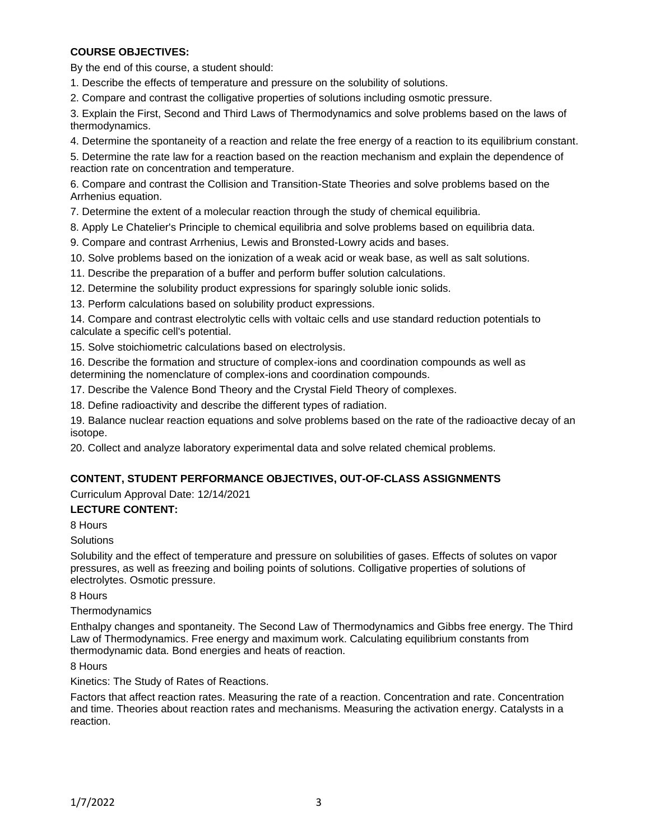# **COURSE OBJECTIVES:**

By the end of this course, a student should:

1. Describe the effects of temperature and pressure on the solubility of solutions.

2. Compare and contrast the colligative properties of solutions including osmotic pressure.

3. Explain the First, Second and Third Laws of Thermodynamics and solve problems based on the laws of thermodynamics.

4. Determine the spontaneity of a reaction and relate the free energy of a reaction to its equilibrium constant.

5. Determine the rate law for a reaction based on the reaction mechanism and explain the dependence of reaction rate on concentration and temperature.

6. Compare and contrast the Collision and Transition-State Theories and solve problems based on the Arrhenius equation.

7. Determine the extent of a molecular reaction through the study of chemical equilibria.

8. Apply Le Chatelier's Principle to chemical equilibria and solve problems based on equilibria data.

9. Compare and contrast Arrhenius, Lewis and Bronsted-Lowry acids and bases.

10. Solve problems based on the ionization of a weak acid or weak base, as well as salt solutions.

11. Describe the preparation of a buffer and perform buffer solution calculations.

12. Determine the solubility product expressions for sparingly soluble ionic solids.

13. Perform calculations based on solubility product expressions.

14. Compare and contrast electrolytic cells with voltaic cells and use standard reduction potentials to calculate a specific cell's potential.

15. Solve stoichiometric calculations based on electrolysis.

16. Describe the formation and structure of complex-ions and coordination compounds as well as determining the nomenclature of complex-ions and coordination compounds.

17. Describe the Valence Bond Theory and the Crystal Field Theory of complexes.

18. Define radioactivity and describe the different types of radiation.

19. Balance nuclear reaction equations and solve problems based on the rate of the radioactive decay of an isotope.

20. Collect and analyze laboratory experimental data and solve related chemical problems.

### **CONTENT, STUDENT PERFORMANCE OBJECTIVES, OUT-OF-CLASS ASSIGNMENTS**

Curriculum Approval Date: 12/14/2021

### **LECTURE CONTENT:**

8 Hours

### **Solutions**

Solubility and the effect of temperature and pressure on solubilities of gases. Effects of solutes on vapor pressures, as well as freezing and boiling points of solutions. Colligative properties of solutions of electrolytes. Osmotic pressure.

8 Hours

### **Thermodynamics**

Enthalpy changes and spontaneity. The Second Law of Thermodynamics and Gibbs free energy. The Third Law of Thermodynamics. Free energy and maximum work. Calculating equilibrium constants from thermodynamic data. Bond energies and heats of reaction.

8 Hours

Kinetics: The Study of Rates of Reactions.

Factors that affect reaction rates. Measuring the rate of a reaction. Concentration and rate. Concentration and time. Theories about reaction rates and mechanisms. Measuring the activation energy. Catalysts in a reaction.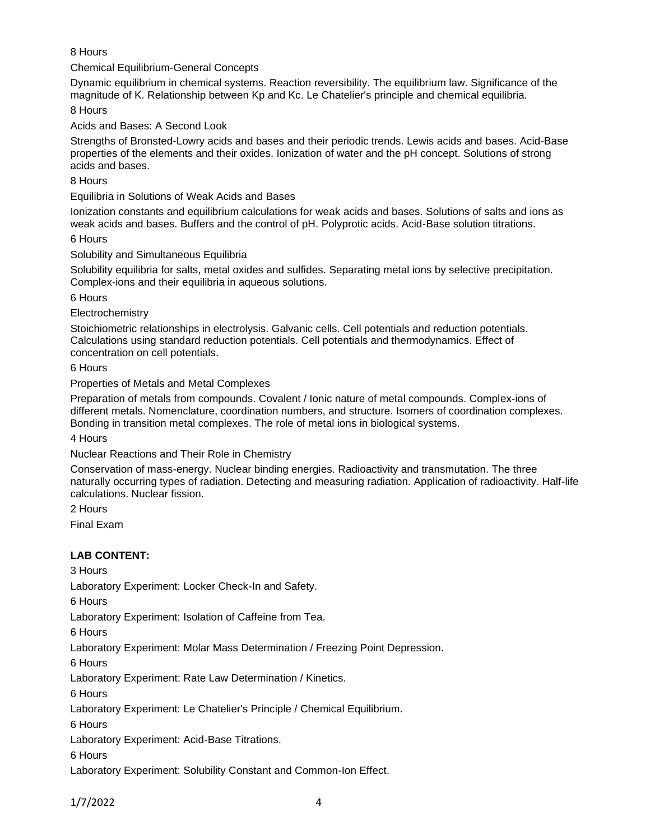# 8 Hours

### Chemical Equilibrium-General Concepts

Dynamic equilibrium in chemical systems. Reaction reversibility. The equilibrium law. Significance of the magnitude of K. Relationship between Kp and Kc. Le Chatelier's principle and chemical equilibria.

8 Hours

Acids and Bases: A Second Look

Strengths of Bronsted-Lowry acids and bases and their periodic trends. Lewis acids and bases. Acid-Base properties of the elements and their oxides. Ionization of water and the pH concept. Solutions of strong acids and bases.

8 Hours

Equilibria in Solutions of Weak Acids and Bases

Ionization constants and equilibrium calculations for weak acids and bases. Solutions of salts and ions as weak acids and bases. Buffers and the control of pH. Polyprotic acids. Acid-Base solution titrations.

6 Hours

Solubility and Simultaneous Equilibria

Solubility equilibria for salts, metal oxides and sulfides. Separating metal ions by selective precipitation. Complex-ions and their equilibria in aqueous solutions.

6 Hours

**Electrochemistry** 

Stoichiometric relationships in electrolysis. Galvanic cells. Cell potentials and reduction potentials. Calculations using standard reduction potentials. Cell potentials and thermodynamics. Effect of concentration on cell potentials.

6 Hours

Properties of Metals and Metal Complexes

Preparation of metals from compounds. Covalent / Ionic nature of metal compounds. Complex-ions of different metals. Nomenclature, coordination numbers, and structure. Isomers of coordination complexes. Bonding in transition metal complexes. The role of metal ions in biological systems.

4 Hours

Nuclear Reactions and Their Role in Chemistry

Conservation of mass-energy. Nuclear binding energies. Radioactivity and transmutation. The three naturally occurring types of radiation. Detecting and measuring radiation. Application of radioactivity. Half-life calculations. Nuclear fission.

2 Hours

Final Exam

# **LAB CONTENT:**

3 Hours

Laboratory Experiment: Locker Check-In and Safety.

6 Hours

Laboratory Experiment: Isolation of Caffeine from Tea.

6 Hours

Laboratory Experiment: Molar Mass Determination / Freezing Point Depression.

6 Hours

Laboratory Experiment: Rate Law Determination / Kinetics.

6 Hours

Laboratory Experiment: Le Chatelier's Principle / Chemical Equilibrium.

6 Hours

Laboratory Experiment: Acid-Base Titrations.

6 Hours

Laboratory Experiment: Solubility Constant and Common-Ion Effect.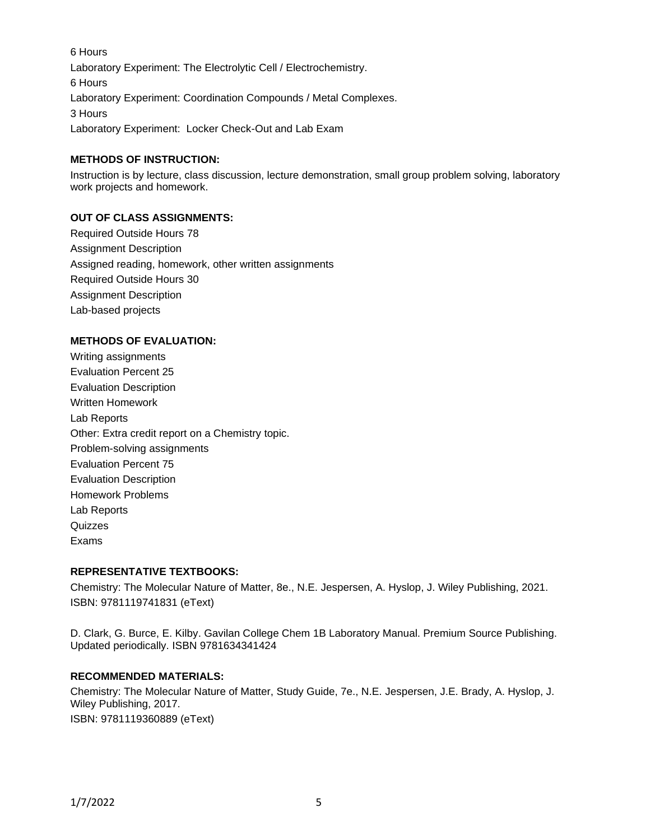6 Hours Laboratory Experiment: The Electrolytic Cell / Electrochemistry. 6 Hours Laboratory Experiment: Coordination Compounds / Metal Complexes. 3 Hours Laboratory Experiment: Locker Check-Out and Lab Exam

### **METHODS OF INSTRUCTION:**

Instruction is by lecture, class discussion, lecture demonstration, small group problem solving, laboratory work projects and homework.

### **OUT OF CLASS ASSIGNMENTS:**

Required Outside Hours 78 Assignment Description Assigned reading, homework, other written assignments Required Outside Hours 30 Assignment Description Lab-based projects

#### **METHODS OF EVALUATION:**

Writing assignments Evaluation Percent 25 Evaluation Description Written Homework Lab Reports Other: Extra credit report on a Chemistry topic. Problem-solving assignments Evaluation Percent 75 Evaluation Description Homework Problems Lab Reports Quizzes Exams

#### **REPRESENTATIVE TEXTBOOKS:**

Chemistry: The Molecular Nature of Matter, 8e., N.E. Jespersen, A. Hyslop, J. Wiley Publishing, 2021. ISBN: 9781119741831 (eText)

D. Clark, G. Burce, E. Kilby. Gavilan College Chem 1B Laboratory Manual. Premium Source Publishing. Updated periodically. ISBN 9781634341424

### **RECOMMENDED MATERIALS:**

Chemistry: The Molecular Nature of Matter, Study Guide, 7e., N.E. Jespersen, J.E. Brady, A. Hyslop, J. Wiley Publishing, 2017.

ISBN: 9781119360889 (eText)